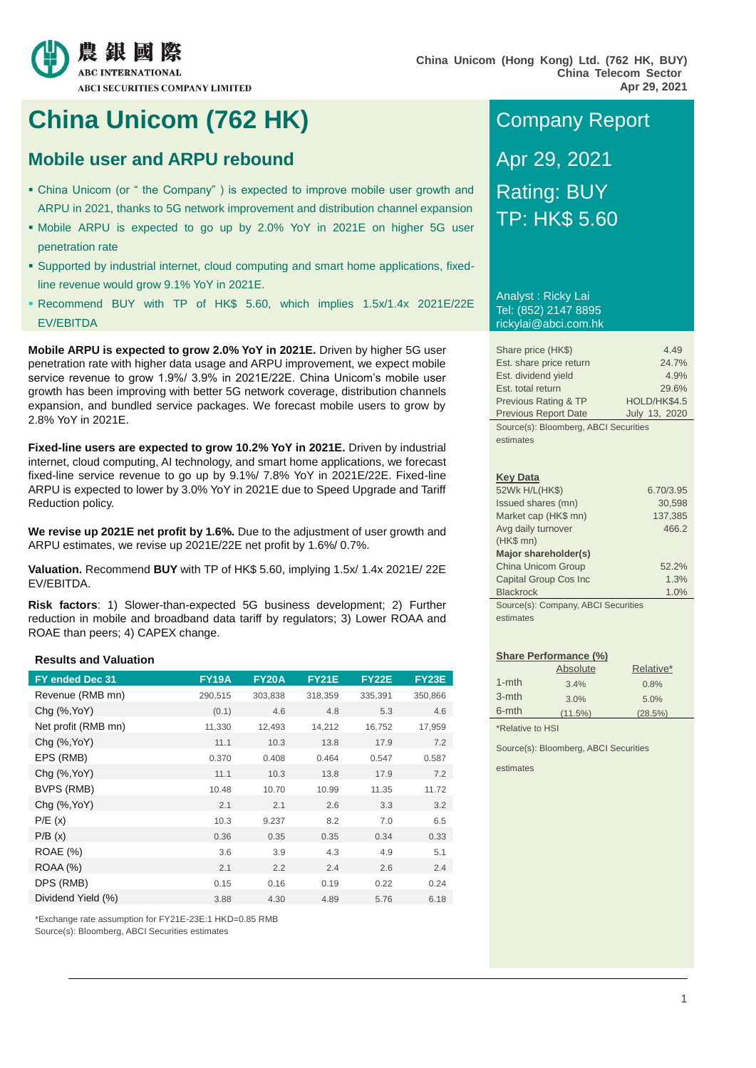

## **China Unicom (762 HK)** Company Report

## **Mobile user and ARPU rebound Apr 29, 2021**

- China Unicom (or " the Company" ) is expected to improve mobile user growth and ARPU in 2021, thanks to 5G network improvement and distribution channel expansion
- Mobile ARPU is expected to go up by 2.0% YoY in 2021E on higher 5G user penetration rate
- Supported by industrial internet, cloud computing and smart home applications, fixedline revenue would grow 9.1% YoY in 2021E.
- Recommend BUY with TP of HK\$ 5.60, which implies 1.5x/1.4x 2021E/22E EV/EBITDA

**Mobile ARPU is expected to grow 2.0% YoY in 2021E.** Driven by higher 5G user penetration rate with higher data usage and ARPU improvement, we expect mobile service revenue to grow 1.9%/ 3.9% in 2021E/22E. China Unicom's mobile user growth has been improving with better 5G network coverage, distribution channels expansion, and bundled service packages. We forecast mobile users to grow by 2.8% YoY in 2021E.

**Fixed-line users are expected to grow 10.2% YoY in 2021E.** Driven by industrial internet, cloud computing, AI technology, and smart home applications, we forecast fixed-line service revenue to go up by 9.1%/ 7.8% YoY in 2021E/22E. Fixed-line ARPU is expected to lower by 3.0% YoY in 2021E due to Speed Upgrade and Tariff Reduction policy.

**We revise up 2021E net profit by 1.6%.** Due to the adjustment of user growth and ARPU estimates, we revise up 2021E/22E net profit by 1.6%/ 0.7%.

**Valuation.** Recommend **BUY** with TP of HK\$ 5.60, implying 1.5x/ 1.4x 2021E/ 22E EV/EBITDA.

**Risk factors**: 1) Slower-than-expected 5G business development; 2) Further reduction in mobile and broadband data tariff by regulators; 3) Lower ROAA and ROAE than peers; 4) CAPEX change.

#### **Results and Valuation**

| FY ended Dec 31     | <b>FY19A</b> | <b>FY20A</b> | <b>FY21E</b> | <b>FY22E</b> | <b>FY23E</b> |
|---------------------|--------------|--------------|--------------|--------------|--------------|
| Revenue (RMB mn)    | 290,515      | 303,838      | 318,359      | 335,391      | 350,866      |
| Chg (%, YoY)        | (0.1)        | 4.6          | 4.8          | 5.3          | 4.6          |
| Net profit (RMB mn) | 11,330       | 12,493       | 14,212       | 16,752       | 17,959       |
| Chg (%, YoY)        | 11.1         | 10.3         | 13.8         | 17.9         | 7.2          |
| EPS (RMB)           | 0.370        | 0.408        | 0.464        | 0.547        | 0.587        |
| Chg (%, YoY)        | 11.1         | 10.3         | 13.8         | 17.9         | 7.2          |
| BVPS (RMB)          | 10.48        | 10.70        | 10.99        | 11.35        | 11.72        |
| Chg (%, YoY)        | 2.1          | 2.1          | 2.6          | 3.3          | 3.2          |
| P/E(x)              | 10.3         | 9.237        | 8.2          | 7.0          | 6.5          |
| P/B(x)              | 0.36         | 0.35         | 0.35         | 0.34         | 0.33         |
| <b>ROAE</b> (%)     | 3.6          | 3.9          | 4.3          | 4.9          | 5.1          |
| <b>ROAA (%)</b>     | 2.1          | 2.2          | 2.4          | 2.6          | 2.4          |
| DPS (RMB)           | 0.15         | 0.16         | 0.19         | 0.22         | 0.24         |
| Dividend Yield (%)  | 3.88         | 4.30         | 4.89         | 5.76         | 6.18         |

\*Exchange rate assumption for FY21E-23E:1 HKD=0.85 RMB

Source(s): Bloomberg, ABCI Securities estimates

# Rating: BUY TP: HK\$ 5.60

Analyst : Ricky Lai Tel: (852) 2147 8895 rickylai@abci.com.hk

| Share price (HK\$)          | 4.49                                  |  |  |  |  |  |  |  |
|-----------------------------|---------------------------------------|--|--|--|--|--|--|--|
| Est. share price return     | 24.7%                                 |  |  |  |  |  |  |  |
| Est. dividend yield         | 4.9%                                  |  |  |  |  |  |  |  |
| Est. total return           | 29.6%                                 |  |  |  |  |  |  |  |
| Previous Rating & TP        | HOLD/HK\$4.5                          |  |  |  |  |  |  |  |
| <b>Previous Report Date</b> | July 13, 2020                         |  |  |  |  |  |  |  |
|                             | Source(s): Bloomberg, ABCI Securities |  |  |  |  |  |  |  |

estimates

#### **Key Data**

| 52Wk H/L(HK\$)                      | 6.70/3.95 |
|-------------------------------------|-----------|
| Issued shares (mn)                  | 30,598    |
| Market cap (HK\$ mn)                | 137,385   |
| Avg daily turnover                  | 466.2     |
| $(HK$$ mn $)$                       |           |
| Major shareholder(s)                |           |
| <b>China Unicom Group</b>           | 52.2%     |
| Capital Group Cos Inc               | 1.3%      |
| <b>Blackrock</b>                    | 1.0%      |
| Source(s): Company, ABCI Securities |           |

estimates

#### **Share Performance (%)**

|           | Absolute   | Relative*  |
|-----------|------------|------------|
| $1 - mth$ | 3.4%       | 0.8%       |
| $3$ -mth  | 3.0%       | 5.0%       |
| 6-mth     | $(11.5\%)$ | $(28.5\%)$ |
|           |            |            |

\*Relative to HSI

Source(s): Bloomberg, ABCI Securities

estimates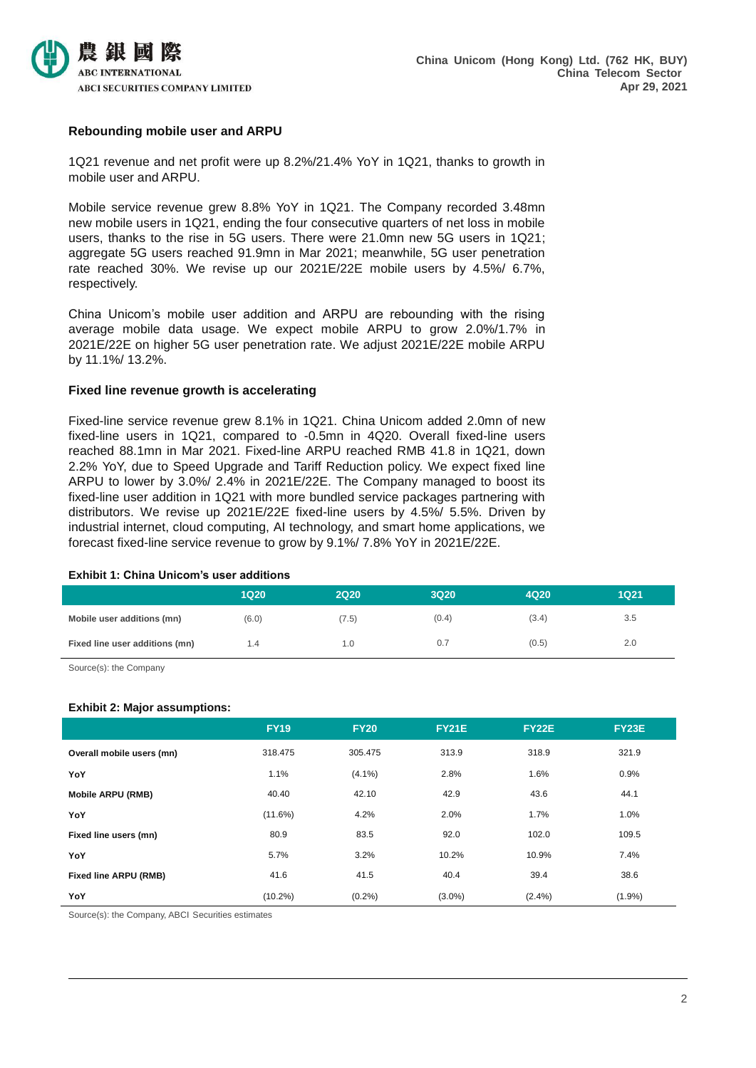

#### **Rebounding mobile user and ARPU**

1Q21 revenue and net profit were up 8.2%/21.4% YoY in 1Q21, thanks to growth in mobile user and ARPU.

Mobile service revenue grew 8.8% YoY in 1Q21. The Company recorded 3.48mn new mobile users in 1Q21, ending the four consecutive quarters of net loss in mobile users, thanks to the rise in 5G users. There were 21.0mn new 5G users in 1Q21; aggregate 5G users reached 91.9mn in Mar 2021; meanwhile, 5G user penetration rate reached 30%. We revise up our 2021E/22E mobile users by 4.5%/ 6.7%, respectively.

China Unicom's mobile user addition and ARPU are rebounding with the rising average mobile data usage. We expect mobile ARPU to grow 2.0%/1.7% in 2021E/22E on higher 5G user penetration rate. We adjust 2021E/22E mobile ARPU by 11.1%/ 13.2%.

#### **Fixed line revenue growth is accelerating**

Fixed-line service revenue grew 8.1% in 1Q21. China Unicom added 2.0mn of new fixed-line users in 1Q21, compared to -0.5mn in 4Q20. Overall fixed-line users reached 88.1mn in Mar 2021. Fixed-line ARPU reached RMB 41.8 in 1Q21, down 2.2% YoY, due to Speed Upgrade and Tariff Reduction policy. We expect fixed line ARPU to lower by 3.0%/ 2.4% in 2021E/22E. The Company managed to boost its fixed-line user addition in 1Q21 with more bundled service packages partnering with distributors. We revise up 2021E/22E fixed-line users by 4.5%/ 5.5%. Driven by industrial internet, cloud computing, AI technology, and smart home applications, we forecast fixed-line service revenue to grow by 9.1%/ 7.8% YoY in 2021E/22E.

#### **Exhibit 1: China Unicom's user additions**

|                                | <b>1Q20</b> | <b>2Q20</b> | <b>3Q20</b> | 4Q20  | <b>1Q21</b>   |
|--------------------------------|-------------|-------------|-------------|-------|---------------|
| Mobile user additions (mn)     | (6.0)       | (7.5)       | (0.4)       | (3.4) | 3.5           |
| Fixed line user additions (mn) | 1.4         | 1.0         | 0.7         | (0.5) | $2.0^{\circ}$ |

Source(s): the Company

#### **Exhibit 2: Major assumptions:**

|                              | <b>FY19</b> | <b>FY20</b> | <b>FY21E</b> | <b>FY22E</b> | <b>FY23E</b> |
|------------------------------|-------------|-------------|--------------|--------------|--------------|
| Overall mobile users (mn)    | 318,475     | 305.475     | 313.9        | 318.9        | 321.9        |
| YoY                          | 1.1%        | $(4.1\%)$   | 2.8%         | 1.6%         | 0.9%         |
| <b>Mobile ARPU (RMB)</b>     | 40.40       | 42.10       | 42.9         | 43.6         | 44.1         |
| YoY                          | (11.6%)     | 4.2%        | 2.0%         | 1.7%         | 1.0%         |
| Fixed line users (mn)        | 80.9        | 83.5        | 92.0         | 102.0        | 109.5        |
| YoY                          | 5.7%        | 3.2%        | 10.2%        | 10.9%        | 7.4%         |
| <b>Fixed line ARPU (RMB)</b> | 41.6        | 41.5        | 40.4         | 39.4         | 38.6         |
| YoY                          | $(10.2\%)$  | (0.2%)      | $(3.0\%)$    | $(2.4\%)$    | $(1.9\%)$    |

Source(s): the Company, ABCI Securities estimates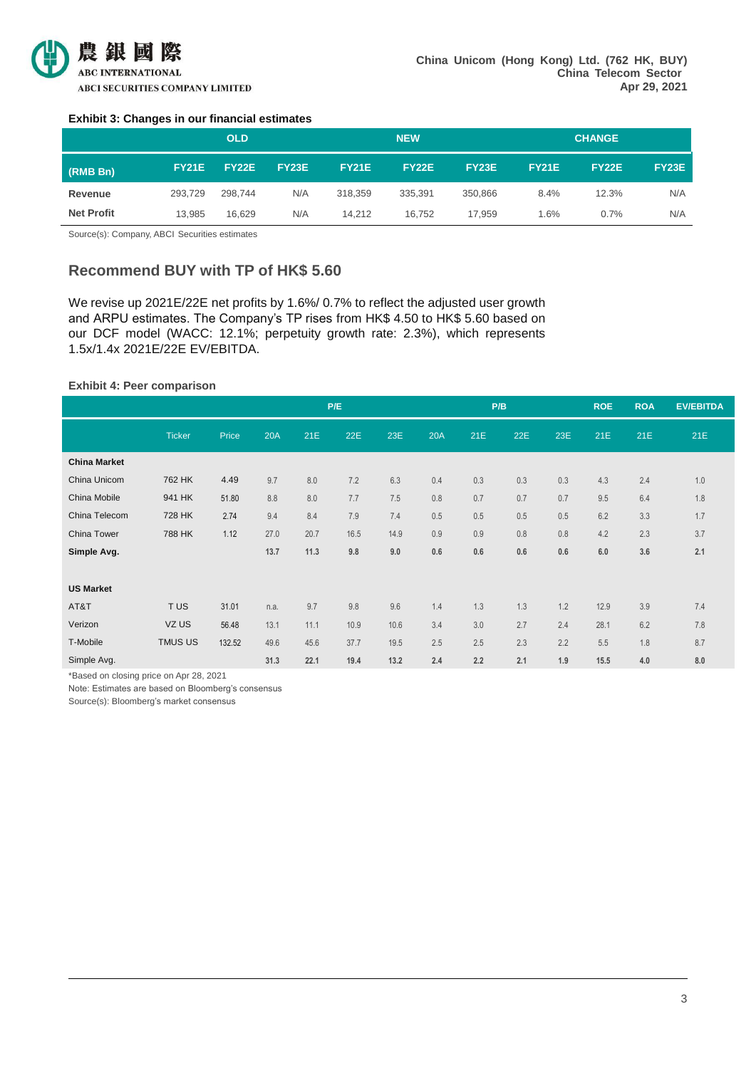

#### **Exhibit 3: Changes in our financial estimates**

|                   |              | <b>OLD</b>   |              |              | <b>NEW</b>   |              | <b>CHANGE</b> |              |              |  |
|-------------------|--------------|--------------|--------------|--------------|--------------|--------------|---------------|--------------|--------------|--|
| (RMB Bn)          | <b>FY21E</b> | <b>FY22E</b> | <b>FY23E</b> | <b>FY21E</b> | <b>FY22E</b> | <b>FY23E</b> | <b>FY21E</b>  | <b>FY22E</b> | <b>FY23E</b> |  |
| Revenue           | 293.729      | 298.744      | N/A          | 318,359      | 335.391      | 350.866      | 8.4%          | 12.3%        | N/A          |  |
| <b>Net Profit</b> | 13.985       | 16.629       | N/A          | 14.212       | 16.752       | 17.959       | $1.6\%$       | 0.7%         | N/A          |  |

Source(s): Company, ABCI Securities estimates

### **Recommend BUY with TP of HK\$ 5.60**

We revise up 2021E/22E net profits by 1.6%/ 0.7% to reflect the adjusted user growth and ARPU estimates. The Company's TP rises from HK\$ 4.50 to HK\$ 5.60 based on our DCF model (WACC: 12.1%; perpetuity growth rate: 2.3%), which represents 1.5x/1.4x 2021E/22E EV/EBITDA.

#### **Exhibit 4: Peer comparison**

|                     |               |        |      |      | P/E  |      |     |     | P/B |     | <b>ROE</b> | <b>ROA</b> | <b>EV/EBITDA</b> |
|---------------------|---------------|--------|------|------|------|------|-----|-----|-----|-----|------------|------------|------------------|
|                     | <b>Ticker</b> | Price  | 20A  | 21E  | 22E  | 23E  | 20A | 21E | 22E | 23E | 21E        | 21E        | 21E              |
| <b>China Market</b> |               |        |      |      |      |      |     |     |     |     |            |            |                  |
| China Unicom        | 762 HK        | 4.49   | 9.7  | 8.0  | 7.2  | 6.3  | 0.4 | 0.3 | 0.3 | 0.3 | 4.3        | 2.4        | 1.0              |
| China Mobile        | 941 HK        | 51.80  | 8.8  | 8.0  | 7.7  | 7.5  | 0.8 | 0.7 | 0.7 | 0.7 | 9.5        | 6.4        | 1.8              |
| China Telecom       | 728 HK        | 2.74   | 9.4  | 8.4  | 7.9  | 7.4  | 0.5 | 0.5 | 0.5 | 0.5 | 6.2        | 3.3        | 1.7              |
| China Tower         | 788 HK        | 1.12   | 27.0 | 20.7 | 16.5 | 14.9 | 0.9 | 0.9 | 0.8 | 0.8 | 4.2        | 2.3        | 3.7              |
| Simple Avg.         |               |        | 13.7 | 11.3 | 9.8  | 9.0  | 0.6 | 0.6 | 0.6 | 0.6 | 6.0        | 3.6        | 2.1              |
|                     |               |        |      |      |      |      |     |     |     |     |            |            |                  |
| <b>US Market</b>    |               |        |      |      |      |      |     |     |     |     |            |            |                  |
| AT&T                | TUS           | 31.01  | n.a. | 9.7  | 9.8  | 9.6  | 1.4 | 1.3 | 1.3 | 1.2 | 12.9       | 3.9        | 7.4              |
| Verizon             | VZ US         | 56.48  | 13.1 | 11.1 | 10.9 | 10.6 | 3.4 | 3.0 | 2.7 | 2.4 | 28.1       | 6.2        | 7.8              |
| T-Mobile            | TMUS US       | 132.52 | 49.6 | 45.6 | 37.7 | 19.5 | 2.5 | 2.5 | 2.3 | 2.2 | 5.5        | 1.8        | 8.7              |
| Simple Avg.         |               |        | 31.3 | 22.1 | 19.4 | 13.2 | 2.4 | 2.2 | 2.1 | 1.9 | 15.5       | 4.0        | 8.0              |

\*Based on closing price on Apr 28, 2021

Note: Estimates are based on Bloomberg's consensus

Source(s): Bloomberg's market consensus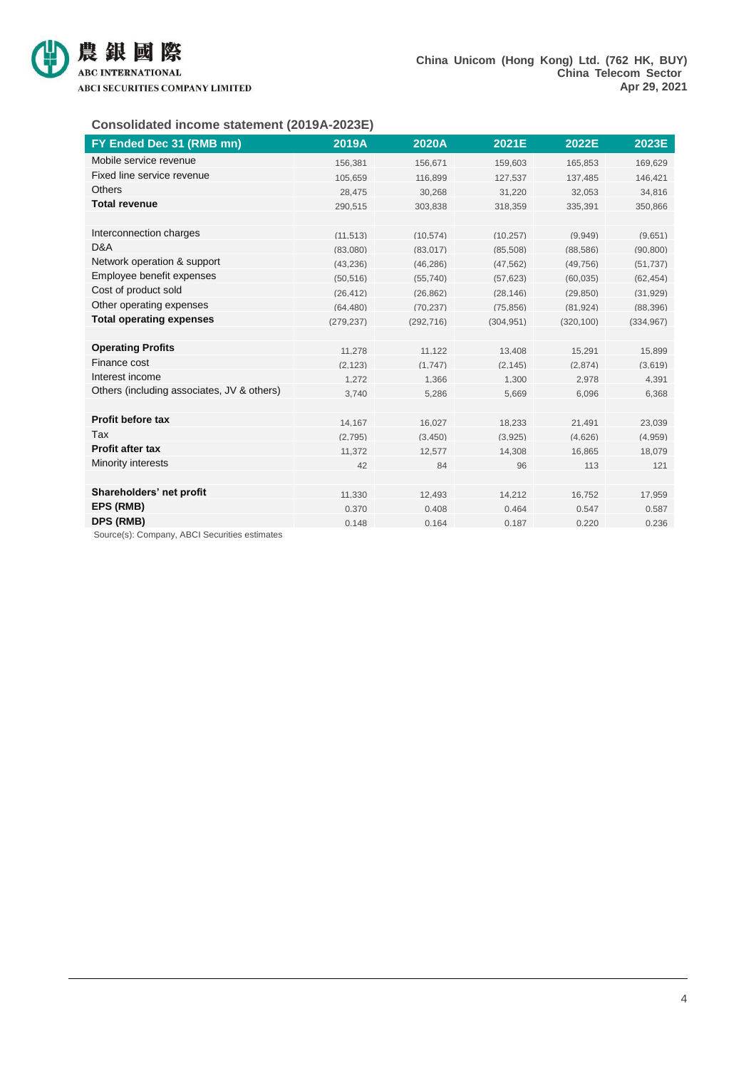

#### **Consolidated income statement (2019A-2023E)**

| FY Ended Dec 31 (RMB mn)                   | 2019A      | 2020A      | 2021E      | 2022E      | 2023E      |
|--------------------------------------------|------------|------------|------------|------------|------------|
| Mobile service revenue                     | 156,381    | 156,671    | 159,603    | 165,853    | 169,629    |
| Fixed line service revenue                 | 105.659    | 116.899    | 127.537    | 137.485    | 146.421    |
| <b>Others</b>                              | 28.475     | 30.268     | 31.220     | 32.053     | 34,816     |
| <b>Total revenue</b>                       | 290.515    | 303.838    | 318.359    | 335.391    | 350.866    |
|                                            |            |            |            |            |            |
| Interconnection charges                    | (11, 513)  | (10, 574)  | (10, 257)  | (9,949)    | (9,651)    |
| D&A                                        | (83,080)   | (83, 017)  | (85,508)   | (88, 586)  | (90, 800)  |
| Network operation & support                | (43.236)   | (46.286)   | (47.562)   | (49.756)   | (51.737)   |
| Employee benefit expenses                  | (50, 516)  | (55.740)   | (57, 623)  | (60, 035)  | (62.454)   |
| Cost of product sold                       | (26.412)   | (26, 862)  | (28.146)   | (29, 850)  | (31, 929)  |
| Other operating expenses                   | (64.480)   | (70.237)   | (75, 856)  | (81.924)   | (88, 396)  |
| <b>Total operating expenses</b>            | (279, 237) | (292, 716) | (304, 951) | (320, 100) | (334, 967) |
|                                            |            |            |            |            |            |
| <b>Operating Profits</b>                   | 11.278     | 11.122     | 13.408     | 15,291     | 15,899     |
| Finance cost                               | (2.123)    | (1.747)    | (2.145)    | (2.874)    | (3.619)    |
| Interest income                            | 1.272      | 1,366      | 1.300      | 2.978      | 4,391      |
| Others (including associates, JV & others) | 3.740      | 5,286      | 5.669      | 6.096      | 6,368      |
|                                            |            |            |            |            |            |
| Profit before tax                          | 14.167     | 16,027     | 18,233     | 21.491     | 23,039     |
| Tax                                        | (2,795)    | (3,450)    | (3,925)    | (4,626)    | (4,959)    |
| <b>Profit after tax</b>                    | 11.372     | 12.577     | 14,308     | 16.865     | 18.079     |
| Minority interests                         | 42         | 84         | 96         | 113        | 121        |
|                                            |            |            |            |            |            |
| Shareholders' net profit                   | 11.330     | 12.493     | 14.212     | 16.752     | 17,959     |
| EPS (RMB)                                  | 0.370      | 0.408      | 0.464      | 0.547      | 0.587      |
| DPS (RMB)                                  | 0.148      | 0.164      | 0.187      | 0.220      | 0.236      |

Source(s): Company, ABCI Securities estimates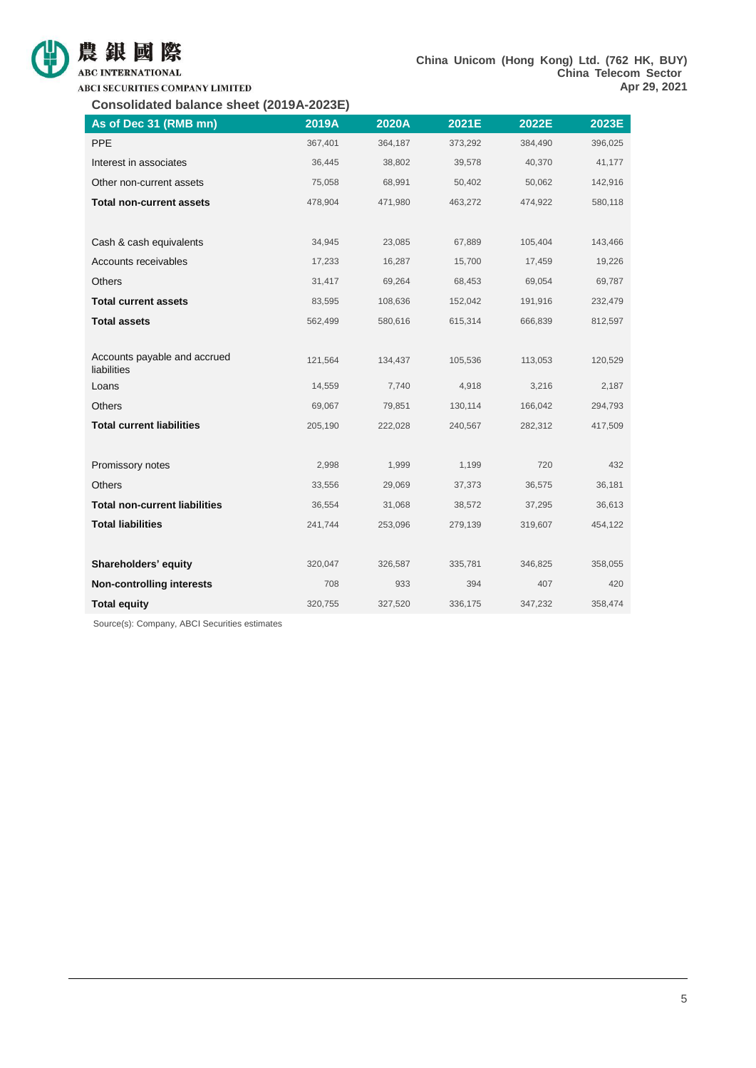

## ABC INTERNATIONAL

**ABCI SECURITIES COMPANY LIMITED** 

**Consolidated balance sheet (2019A-2023E)**

| As of Dec 31 (RMB mn)                       | 2019A   | 2020A   | 2021E   | 2022E   | 2023E   |
|---------------------------------------------|---------|---------|---------|---------|---------|
| PPE                                         | 367,401 | 364,187 | 373,292 | 384,490 | 396,025 |
| Interest in associates                      | 36,445  | 38,802  | 39,578  | 40,370  | 41,177  |
| Other non-current assets                    | 75,058  | 68,991  | 50,402  | 50,062  | 142,916 |
| <b>Total non-current assets</b>             | 478,904 | 471,980 | 463,272 | 474,922 | 580,118 |
|                                             |         |         |         |         |         |
| Cash & cash equivalents                     | 34,945  | 23,085  | 67,889  | 105,404 | 143,466 |
| Accounts receivables                        | 17,233  | 16,287  | 15,700  | 17,459  | 19,226  |
| Others                                      | 31,417  | 69,264  | 68,453  | 69,054  | 69,787  |
| <b>Total current assets</b>                 | 83,595  | 108,636 | 152,042 | 191,916 | 232,479 |
| <b>Total assets</b>                         | 562,499 | 580,616 | 615,314 | 666,839 | 812,597 |
|                                             |         |         |         |         |         |
| Accounts payable and accrued<br>liabilities | 121,564 | 134,437 | 105,536 | 113,053 | 120,529 |
| Loans                                       | 14,559  | 7,740   | 4,918   | 3,216   | 2,187   |
| Others                                      | 69,067  | 79,851  | 130,114 | 166,042 | 294,793 |
| <b>Total current liabilities</b>            | 205,190 | 222,028 | 240,567 | 282,312 | 417,509 |
|                                             |         |         |         |         |         |
| Promissory notes                            | 2,998   | 1,999   | 1,199   | 720     | 432     |
| <b>Others</b>                               | 33,556  | 29,069  | 37,373  | 36,575  | 36,181  |
| <b>Total non-current liabilities</b>        | 36,554  | 31,068  | 38,572  | 37,295  | 36,613  |
| <b>Total liabilities</b>                    | 241,744 | 253,096 | 279,139 | 319,607 | 454,122 |
|                                             |         |         |         |         |         |
| Shareholders' equity                        | 320,047 | 326,587 | 335,781 | 346,825 | 358,055 |
| <b>Non-controlling interests</b>            | 708     | 933     | 394     | 407     | 420     |
| <b>Total equity</b>                         | 320,755 | 327,520 | 336,175 | 347,232 | 358,474 |

Source(s): Company, ABCI Securities estimates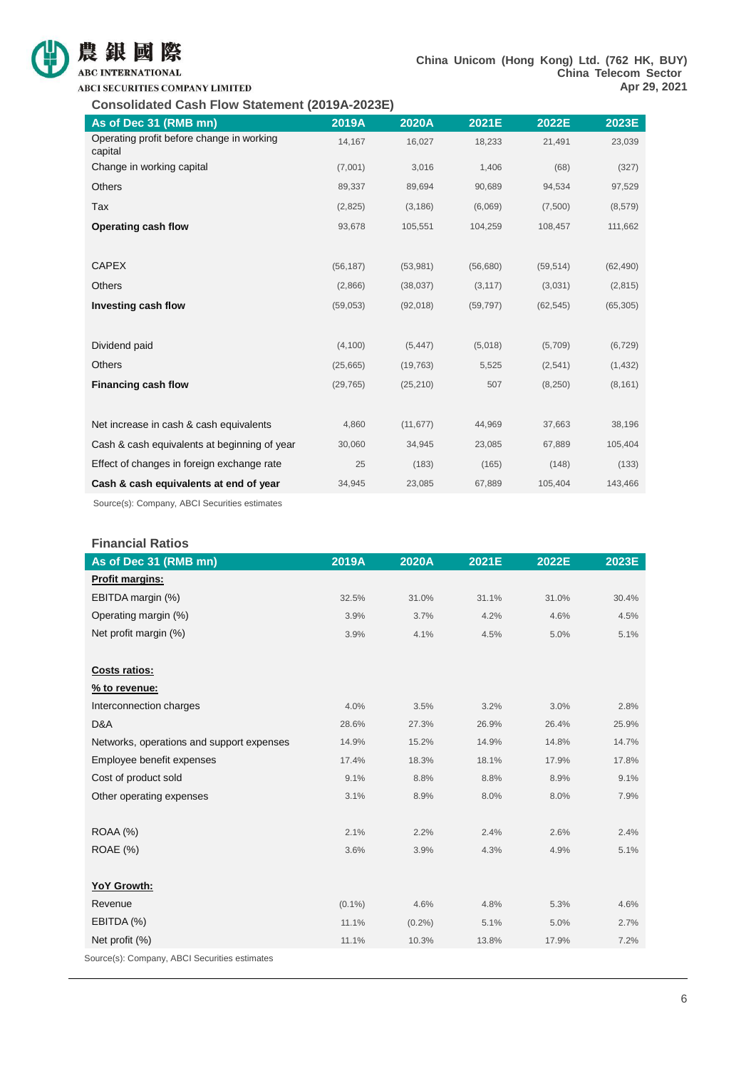

## **ABC INTERNATIONAL**

**Consolidated Cash Flow Statement (2019A-2023E)**

| As of Dec 31 (RMB mn)                                | 2019A     | 2020A     | 2021E     | 2022E     | 2023E     |
|------------------------------------------------------|-----------|-----------|-----------|-----------|-----------|
| Operating profit before change in working<br>capital | 14,167    | 16,027    | 18,233    | 21,491    | 23,039    |
| Change in working capital                            | (7,001)   | 3,016     | 1,406     | (68)      | (327)     |
| <b>Others</b>                                        | 89,337    | 89,694    | 90,689    | 94,534    | 97,529    |
| Tax                                                  | (2,825)   | (3, 186)  | (6,069)   | (7,500)   | (8,579)   |
| Operating cash flow                                  | 93,678    | 105,551   | 104,259   | 108,457   | 111,662   |
|                                                      |           |           |           |           |           |
| <b>CAPEX</b>                                         | (56, 187) | (53,981)  | (56,680)  | (59, 514) | (62, 490) |
| <b>Others</b>                                        | (2,866)   | (38, 037) | (3, 117)  | (3,031)   | (2,815)   |
| Investing cash flow                                  | (59,053)  | (92,018)  | (59, 797) | (62, 545) | (65, 305) |
|                                                      |           |           |           |           |           |
| Dividend paid                                        | (4, 100)  | (5, 447)  | (5,018)   | (5,709)   | (6, 729)  |
| <b>Others</b>                                        | (25,665)  | (19, 763) | 5,525     | (2,541)   | (1, 432)  |
| <b>Financing cash flow</b>                           | (29, 765) | (25, 210) | 507       | (8,250)   | (8, 161)  |
|                                                      |           |           |           |           |           |
| Net increase in cash & cash equivalents              | 4,860     | (11, 677) | 44,969    | 37,663    | 38,196    |
| Cash & cash equivalents at beginning of year         | 30,060    | 34,945    | 23,085    | 67,889    | 105,404   |
| Effect of changes in foreign exchange rate           | 25        | (183)     | (165)     | (148)     | (133)     |
| Cash & cash equivalents at end of year               | 34,945    | 23,085    | 67,889    | 105,404   | 143,466   |
|                                                      |           |           |           |           |           |

Source(s): Company, ABCI Securities estimates

#### **Financial Ratios**

| Profit margins:<br>EBITDA margin (%)<br>31.0%<br>31.1%<br>31.0%<br>32.5%<br>Operating margin (%)<br>3.9%<br>3.7%<br>4.2%<br>4.6%<br>Net profit margin (%)<br>3.9%<br>4.1%<br>4.5%<br>5.0% | As of Dec 31 (RMB mn) | 2019A | 2020A | 2021E | 2022E | 2023E |
|-------------------------------------------------------------------------------------------------------------------------------------------------------------------------------------------|-----------------------|-------|-------|-------|-------|-------|
|                                                                                                                                                                                           |                       |       |       |       |       |       |
|                                                                                                                                                                                           |                       |       |       |       |       | 30.4% |
|                                                                                                                                                                                           |                       |       |       |       |       | 4.5%  |
|                                                                                                                                                                                           |                       |       |       |       |       | 5.1%  |
|                                                                                                                                                                                           |                       |       |       |       |       |       |
|                                                                                                                                                                                           | <b>Costs ratios:</b>  |       |       |       |       |       |
| % to revenue:                                                                                                                                                                             |                       |       |       |       |       |       |
| Interconnection charges<br>4.0%<br>3.5%<br>3.2%<br>3.0%                                                                                                                                   |                       |       |       |       |       | 2.8%  |
| D&A<br>28.6%<br>27.3%<br>26.9%<br>26.4%                                                                                                                                                   |                       |       |       |       |       | 25.9% |
| Networks, operations and support expenses<br>15.2%<br>14.9%<br>14.9%<br>14.8%                                                                                                             |                       |       |       |       |       | 14.7% |
| Employee benefit expenses<br>18.1%<br>17.4%<br>18.3%<br>17.9%                                                                                                                             |                       |       |       |       |       | 17.8% |
| Cost of product sold<br>9.1%<br>8.8%<br>8.8%<br>8.9%                                                                                                                                      |                       |       |       |       |       | 9.1%  |
| Other operating expenses<br>3.1%<br>8.9%<br>8.0%<br>8.0%                                                                                                                                  |                       |       |       |       |       | 7.9%  |
|                                                                                                                                                                                           |                       |       |       |       |       |       |
| ROAA (%)<br>2.1%<br>2.4%<br>2.6%<br>2.2%                                                                                                                                                  |                       |       |       |       |       | 2.4%  |
| <b>ROAE</b> (%)<br>3.6%<br>3.9%<br>4.3%<br>4.9%                                                                                                                                           |                       |       |       |       |       | 5.1%  |
|                                                                                                                                                                                           |                       |       |       |       |       |       |
| YoY Growth:                                                                                                                                                                               |                       |       |       |       |       |       |
| Revenue<br>$(0.1\%)$<br>4.6%<br>4.8%<br>5.3%                                                                                                                                              |                       |       |       |       |       | 4.6%  |
| EBITDA (%)<br>11.1%<br>$(0.2\%)$<br>5.1%<br>5.0%                                                                                                                                          |                       |       |       |       |       | 2.7%  |
| Net profit (%)<br>11.1%<br>10.3%<br>13.8%<br>17.9%                                                                                                                                        |                       |       |       |       |       | 7.2%  |

Source(s): Company, ABCI Securities estimates